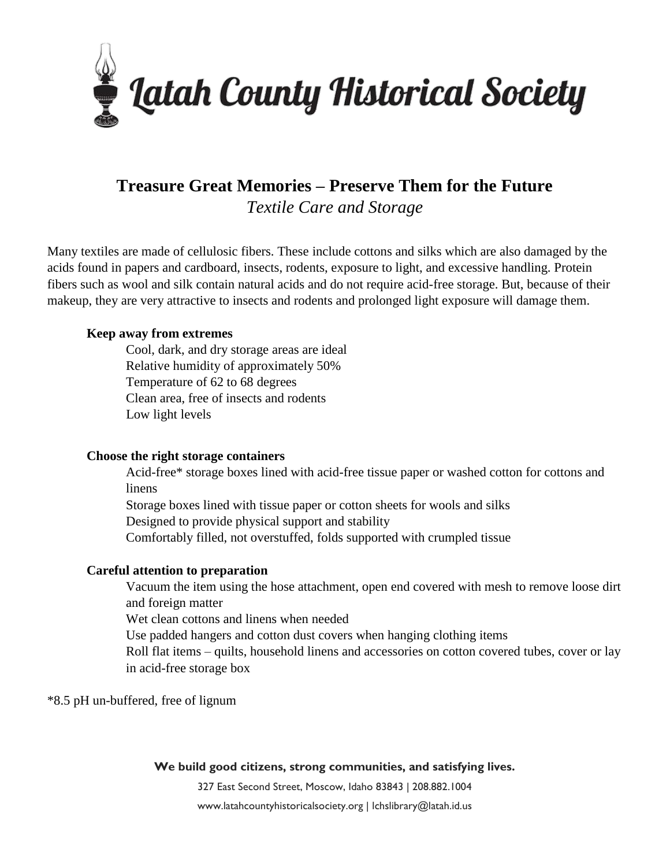

# **Treasure Great Memories – Preserve Them for the Future** *Textile Care and Storage*

Many textiles are made of cellulosic fibers. These include cottons and silks which are also damaged by the acids found in papers and cardboard, insects, rodents, exposure to light, and excessive handling. Protein fibers such as wool and silk contain natural acids and do not require acid-free storage. But, because of their makeup, they are very attractive to insects and rodents and prolonged light exposure will damage them.

## **Keep away from extremes**

Cool, dark, and dry storage areas are ideal Relative humidity of approximately 50% Temperature of 62 to 68 degrees Clean area, free of insects and rodents Low light levels

#### **Choose the right storage containers**

Acid-free\* storage boxes lined with acid-free tissue paper or washed cotton for cottons and linens

Storage boxes lined with tissue paper or cotton sheets for wools and silks

Designed to provide physical support and stability

Comfortably filled, not overstuffed, folds supported with crumpled tissue

#### **Careful attention to preparation**

Vacuum the item using the hose attachment, open end covered with mesh to remove loose dirt and foreign matter

Wet clean cottons and linens when needed

Use padded hangers and cotton dust covers when hanging clothing items

Roll flat items – quilts, household linens and accessories on cotton covered tubes, cover or lay in acid-free storage box

\*8.5 pH un-buffered, free of lignum

#### **We build good citizens, strong communities, and satisfying lives.**

327 East Second Street, Moscow, Idaho 83843 | 208.882.1004

www.latahcountyhistoricalsociety.org | lchslibrary@latah.id.us